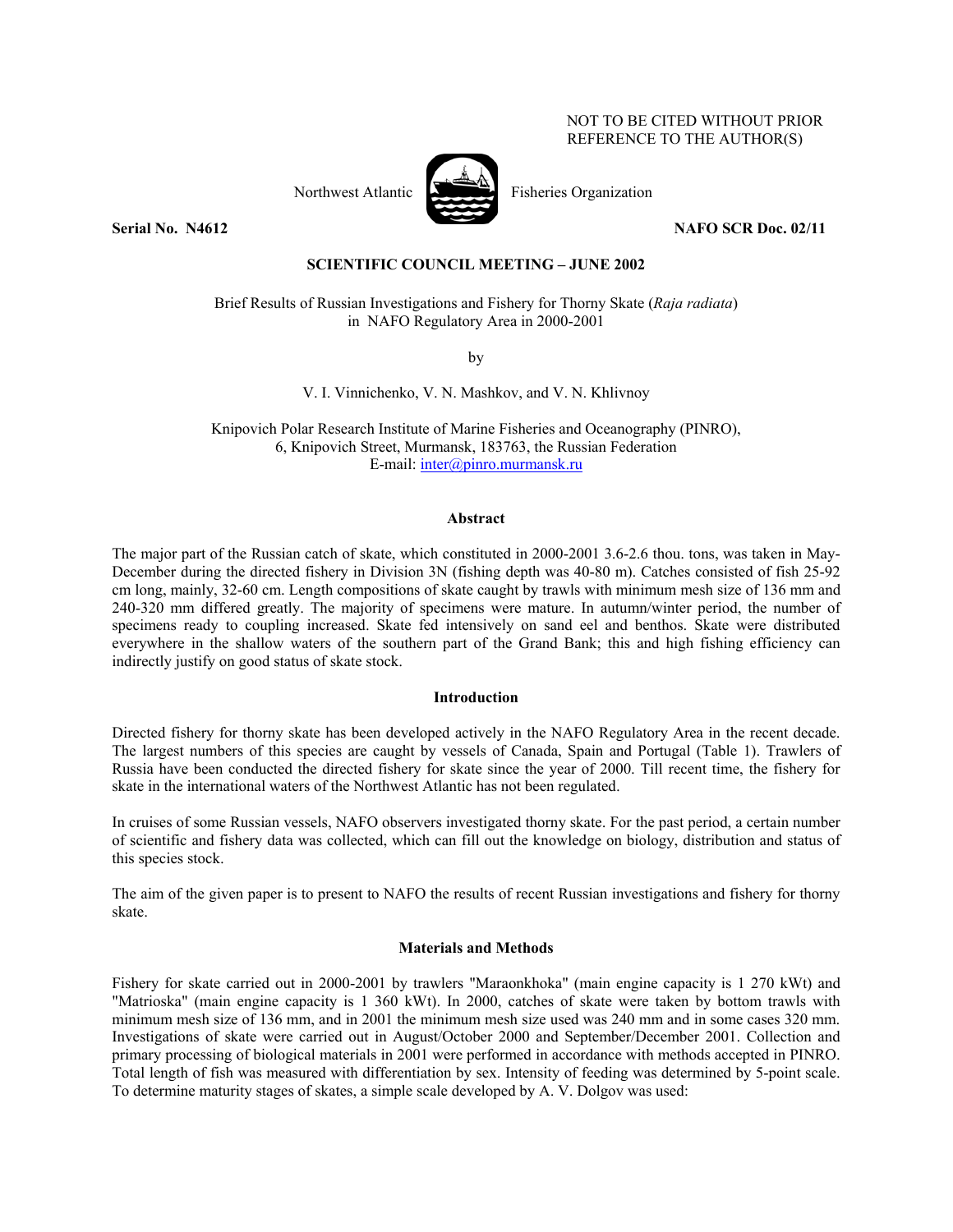# NOT TO BE CITED WITHOUT PRIOR REFERENCE TO THE AUTHOR(S)



Northwest Atlantic Fisheries Organization

**Serial No. 22.11 <b>NAFO** SCR Doc. 02/11 **NAFO** SCR Doc. 02/11

# **SCIENTIFIC COUNCIL MEETING – JUNE 2002**

Brief Results of Russian Investigations and Fishery for Thorny Skate (*Raja radiata*) in NAFO Regulatory Area in 2000-2001

by

V. I. Vinnichenko, V. N. Mashkov, and V. N. Khlivnoy

Knipovich Polar Research Institute of Marine Fisheries and Oceanography (PINRO), 6, Knipovich Street, Murmansk, 183763, the Russian Federation E-mail: inter@pinro.murmansk.ru

### **Abstract**

The major part of the Russian catch of skate, which constituted in 2000-2001 3.6-2.6 thou. tons, was taken in May-December during the directed fishery in Division 3N (fishing depth was 40-80 m). Catches consisted of fish 25-92 cm long, mainly, 32-60 cm. Length compositions of skate caught by trawls with minimum mesh size of 136 mm and 240-320 mm differed greatly. The majority of specimens were mature. In autumn/winter period, the number of specimens ready to coupling increased. Skate fed intensively on sand eel and benthos. Skate were distributed everywhere in the shallow waters of the southern part of the Grand Bank; this and high fishing efficiency can indirectly justify on good status of skate stock.

#### **Introduction**

Directed fishery for thorny skate has been developed actively in the NAFO Regulatory Area in the recent decade. The largest numbers of this species are caught by vessels of Canada, Spain and Portugal (Table 1). Trawlers of Russia have been conducted the directed fishery for skate since the year of 2000. Till recent time, the fishery for skate in the international waters of the Northwest Atlantic has not been regulated.

In cruises of some Russian vessels, NAFO observers investigated thorny skate. For the past period, a certain number of scientific and fishery data was collected, which can fill out the knowledge on biology, distribution and status of this species stock.

The aim of the given paper is to present to NAFO the results of recent Russian investigations and fishery for thorny skate.

### **Materials and Methods**

Fishery for skate carried out in 2000-2001 by trawlers "Maraonkhoka" (main engine capacity is 1 270 kWt) and "Matrioska" (main engine capacity is 1 360 kWt). In 2000, catches of skate were taken by bottom trawls with minimum mesh size of 136 mm, and in 2001 the minimum mesh size used was 240 mm and in some cases 320 mm. Investigations of skate were carried out in August/October 2000 and September/December 2001. Collection and primary processing of biological materials in 2001 were performed in accordance with methods accepted in PINRO. Total length of fish was measured with differentiation by sex. Intensity of feeding was determined by 5-point scale. To determine maturity stages of skates, a simple scale developed by A. V. Dolgov was used: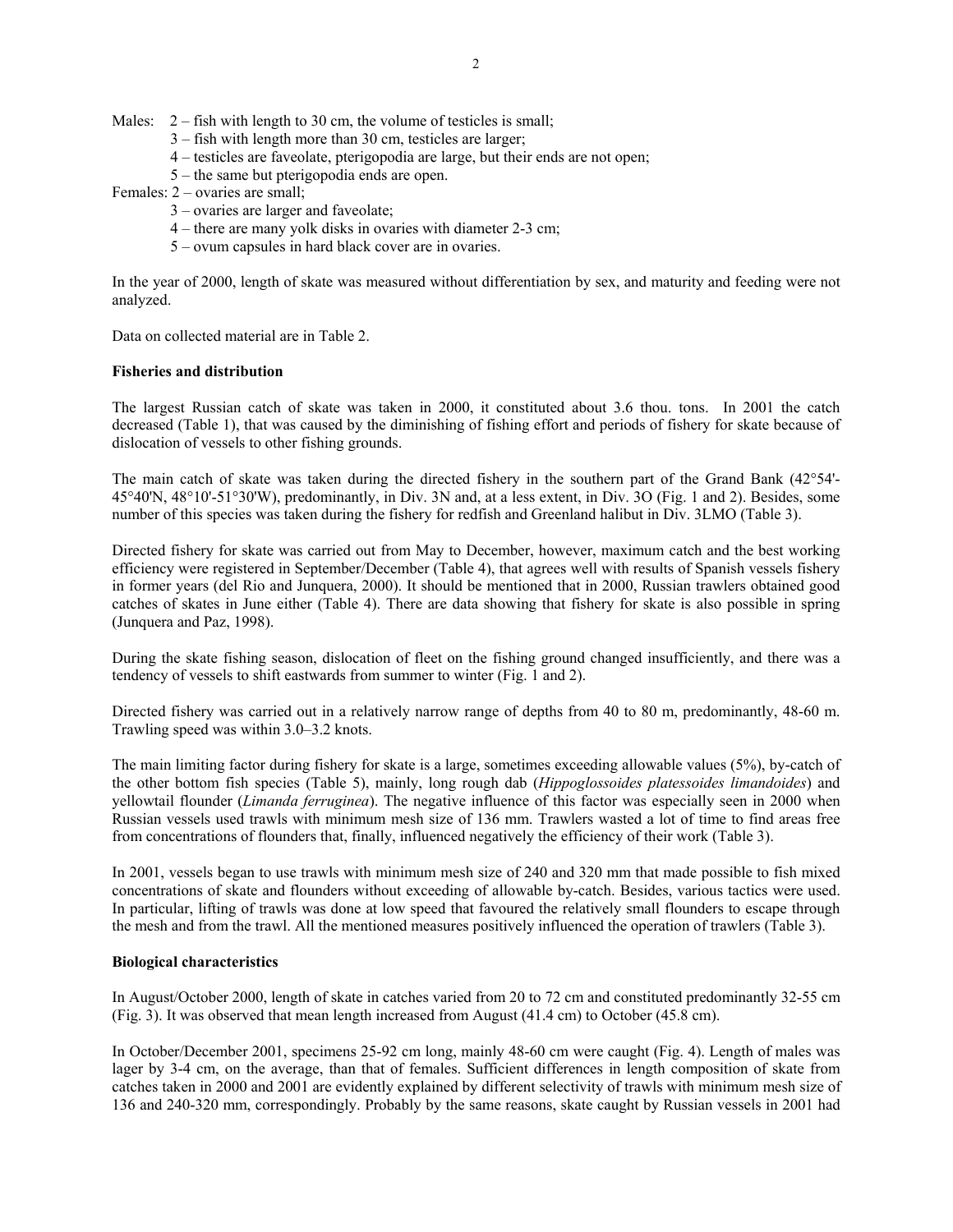Males:  $2 -$  fish with length to 30 cm, the volume of testicles is small;

- 3 fish with length more than 30 cm, testicles are larger;
- 4 testicles are faveolate, pterigopodia are large, but their ends are not open;
- 5 the same but pterigopodia ends are open.
- Females: 2 ovaries are small;
	- 3 ovaries are larger and faveolate;
	- 4 there are many yolk disks in ovaries with diameter 2-3 cm;
	- 5 ovum capsules in hard black cover are in ovaries.

In the year of 2000, length of skate was measured without differentiation by sex, and maturity and feeding were not analyzed.

Data on collected material are in Table 2.

## **Fisheries and distribution**

The largest Russian catch of skate was taken in 2000, it constituted about 3.6 thou. tons. In 2001 the catch decreased (Table 1), that was caused by the diminishing of fishing effort and periods of fishery for skate because of dislocation of vessels to other fishing grounds.

The main catch of skate was taken during the directed fishery in the southern part of the Grand Bank (42°54'- 45°40'N, 48°10'-51°30'W), predominantly, in Div. 3N and, at a less extent, in Div. 3O (Fig. 1 and 2). Besides, some number of this species was taken during the fishery for redfish and Greenland halibut in Div. 3LMO (Table 3).

Directed fishery for skate was carried out from May to December, however, maximum catch and the best working efficiency were registered in September/December (Table 4), that agrees well with results of Spanish vessels fishery in former years (del Rio and Junquera, 2000). It should be mentioned that in 2000, Russian trawlers obtained good catches of skates in June either (Table 4). There are data showing that fishery for skate is also possible in spring (Junquera and Paz, 1998).

During the skate fishing season, dislocation of fleet on the fishing ground changed insufficiently, and there was a tendency of vessels to shift eastwards from summer to winter (Fig. 1 and 2).

Directed fishery was carried out in a relatively narrow range of depths from 40 to 80 m, predominantly, 48-60 m. Trawling speed was within 3.0–3.2 knots.

The main limiting factor during fishery for skate is a large, sometimes exceeding allowable values (5%), by-catch of the other bottom fish species (Table 5), mainly, long rough dab (*Hippoglossoides platessoides limandoides*) and yellowtail flounder (*Limanda ferruginea*). The negative influence of this factor was especially seen in 2000 when Russian vessels used trawls with minimum mesh size of 136 mm. Trawlers wasted a lot of time to find areas free from concentrations of flounders that, finally, influenced negatively the efficiency of their work (Table 3).

In 2001, vessels began to use trawls with minimum mesh size of 240 and 320 mm that made possible to fish mixed concentrations of skate and flounders without exceeding of allowable by-catch. Besides, various tactics were used. In particular, lifting of trawls was done at low speed that favoured the relatively small flounders to escape through the mesh and from the trawl. All the mentioned measures positively influenced the operation of trawlers (Table 3).

## **Biological characteristics**

In August/October 2000, length of skate in catches varied from 20 to 72 cm and constituted predominantly 32-55 cm (Fig. 3). It was observed that mean length increased from August (41.4 cm) to October (45.8 cm).

In October/December 2001, specimens 25-92 cm long, mainly 48-60 cm were caught (Fig. 4). Length of males was lager by 3-4 cm, on the average, than that of females. Sufficient differences in length composition of skate from catches taken in 2000 and 2001 are evidently explained by different selectivity of trawls with minimum mesh size of 136 and 240-320 mm, correspondingly. Probably by the same reasons, skate caught by Russian vessels in 2001 had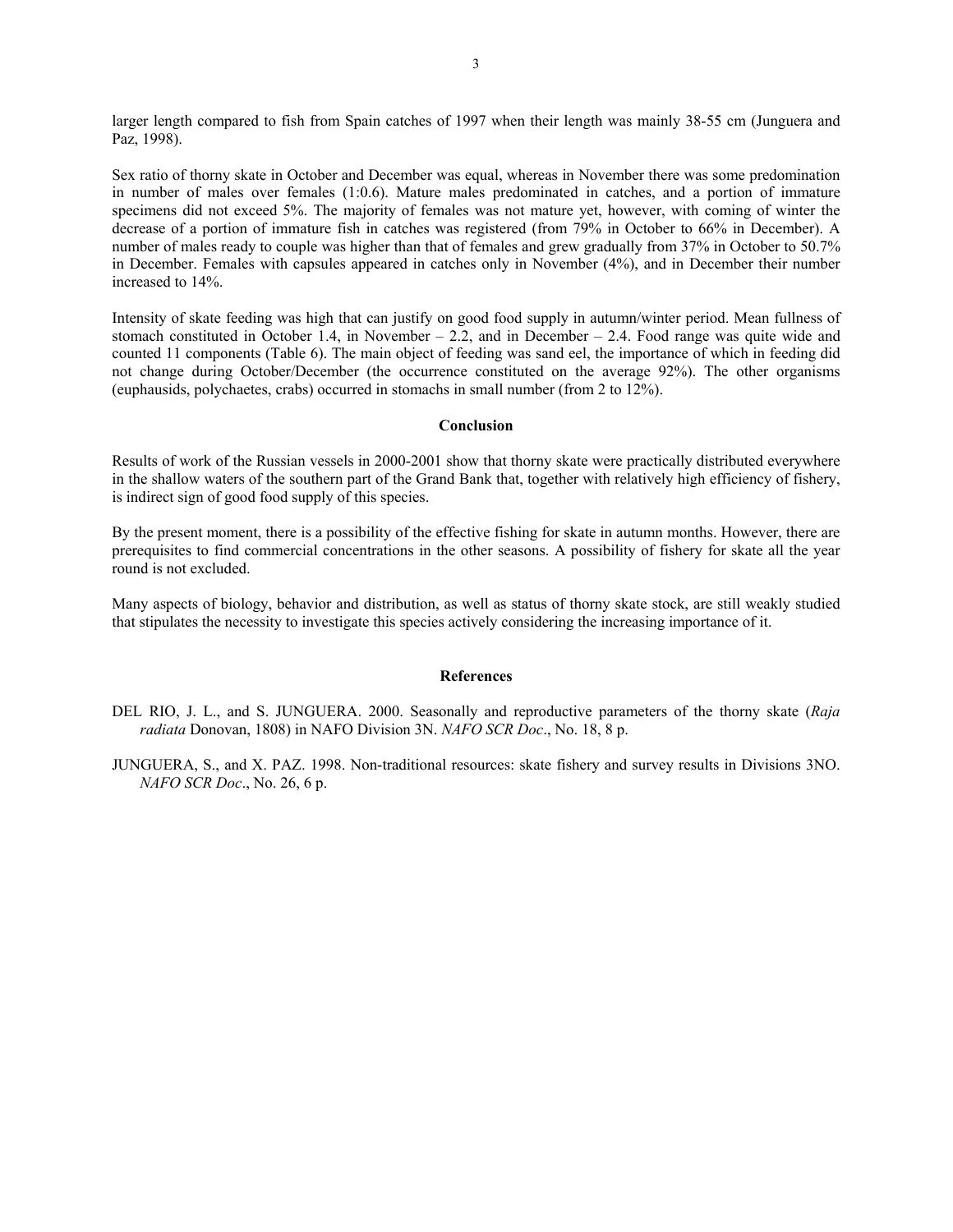larger length compared to fish from Spain catches of 1997 when their length was mainly 38-55 cm (Junguera and Paz, 1998).

Sex ratio of thorny skate in October and December was equal, whereas in November there was some predomination in number of males over females (1:0.6). Mature males predominated in catches, and a portion of immature specimens did not exceed 5%. The majority of females was not mature yet, however, with coming of winter the decrease of a portion of immature fish in catches was registered (from 79% in October to 66% in December). A number of males ready to couple was higher than that of females and grew gradually from 37% in October to 50.7% in December. Females with capsules appeared in catches only in November (4%), and in December their number increased to 14%.

Intensity of skate feeding was high that can justify on good food supply in autumn/winter period. Mean fullness of stomach constituted in October 1.4, in November – 2.2, and in December – 2.4. Food range was quite wide and counted 11 components (Table 6). The main object of feeding was sand eel, the importance of which in feeding did not change during October/December (the occurrence constituted on the average 92%). The other organisms (euphausids, polychaetes, crabs) occurred in stomachs in small number (from 2 to 12%).

### **Conclusion**

Results of work of the Russian vessels in 2000-2001 show that thorny skate were practically distributed everywhere in the shallow waters of the southern part of the Grand Bank that, together with relatively high efficiency of fishery, is indirect sign of good food supply of this species.

By the present moment, there is a possibility of the effective fishing for skate in autumn months. However, there are prerequisites to find commercial concentrations in the other seasons. A possibility of fishery for skate all the year round is not excluded.

Many aspects of biology, behavior and distribution, as well as status of thorny skate stock, are still weakly studied that stipulates the necessity to investigate this species actively considering the increasing importance of it.

#### **References**

- DEL RIO, J. L., and S. JUNGUERA. 2000. Seasonally and reproductive parameters of the thorny skate (*Raja radiata* Donovan, 1808) in NAFO Division 3N. *NAFO SCR Doc*., No. 18, 8 p.
- JUNGUERA, S., and X. PAZ. 1998. Non-traditional resources: skate fishery and survey results in Divisions 3NO. *NAFO SCR Doc*., No. 26, 6 p.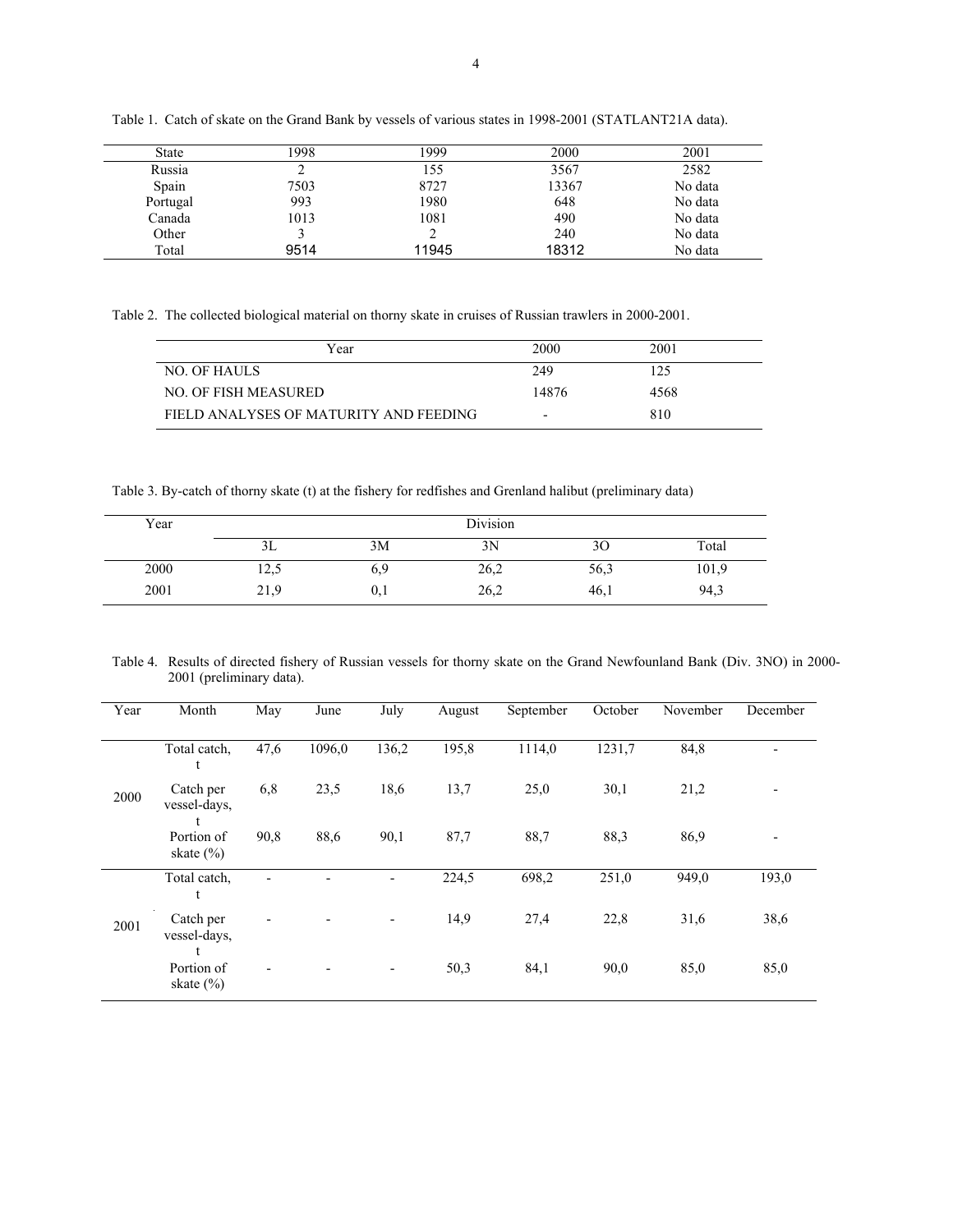| <b>State</b> | 1998 | 1999  | 2000  | 2001    |
|--------------|------|-------|-------|---------|
| Russia       | ∠    | 55    | 3567  | 2582    |
| Spain        | 7503 | 8727  | 13367 | No data |
| Portugal     | 993  | 1980  | 648   | No data |
| Canada       | 1013 | 1081  | 490   | No data |
| Other        |      |       | 240   | No data |
| Total        | 9514 | 11945 | 18312 | No data |

Table 1. Catch of skate on the Grand Bank by vessels of various states in 1998-2001 (STATLANT21A data).

Table 2. The collected biological material on thorny skate in cruises of Russian trawlers in 2000-2001.

| Year                                   | 2000                     | 2001 |  |
|----------------------------------------|--------------------------|------|--|
| <b>NO. OF HAULS</b>                    | 249                      | 125  |  |
| NO. OF FISH MEASURED                   | 14876                    | 4568 |  |
| FIELD ANALYSES OF MATURITY AND FEEDING | $\overline{\phantom{0}}$ | 810  |  |

Table 3. By-catch of thorny skate (t) at the fishery for redfishes and Grenland halibut (preliminary data)

| Year | Division |      |      |      |       |  |
|------|----------|------|------|------|-------|--|
|      | 3L       | 3M   | 3Ν   | 3U   | Total |  |
| 2000 | 14,9     | 6,9  | 26,2 | 56,3 | 101,9 |  |
| 2001 | 21,9     | v. I | 26,2 | 46,1 | 94,3  |  |

Table 4. Results of directed fishery of Russian vessels for thorny skate on the Grand Newfounland Bank (Div. 3NO) in 2000- 2001 (preliminary data).

| Year | Month                          | May  | June   | July  | August | September | October | November | December       |
|------|--------------------------------|------|--------|-------|--------|-----------|---------|----------|----------------|
|      | Total catch,                   | 47,6 | 1096,0 | 136,2 | 195,8  | 1114,0    | 1231.7  | 84,8     |                |
| 2000 | Catch per<br>vessel-days,      | 6,8  | 23,5   | 18,6  | 13,7   | 25,0      | 30,1    | 21,2     |                |
|      | Portion of<br>skate $(\% )$    | 90,8 | 88,6   | 90,1  | 87,7   | 88,7      | 88,3    | 86,9     | $\blacksquare$ |
|      | Total catch,                   | ٠    |        | -     | 224,5  | 698,2     | 251,0   | 949,0    | 193,0          |
| 2001 | Catch per<br>vessel-days,<br>t | ٠    |        | -     | 14,9   | 27,4      | 22,8    | 31,6     | 38,6           |
|      | Portion of<br>skate $(\% )$    |      |        | -     | 50,3   | 84,1      | 90,0    | 85,0     | 85,0           |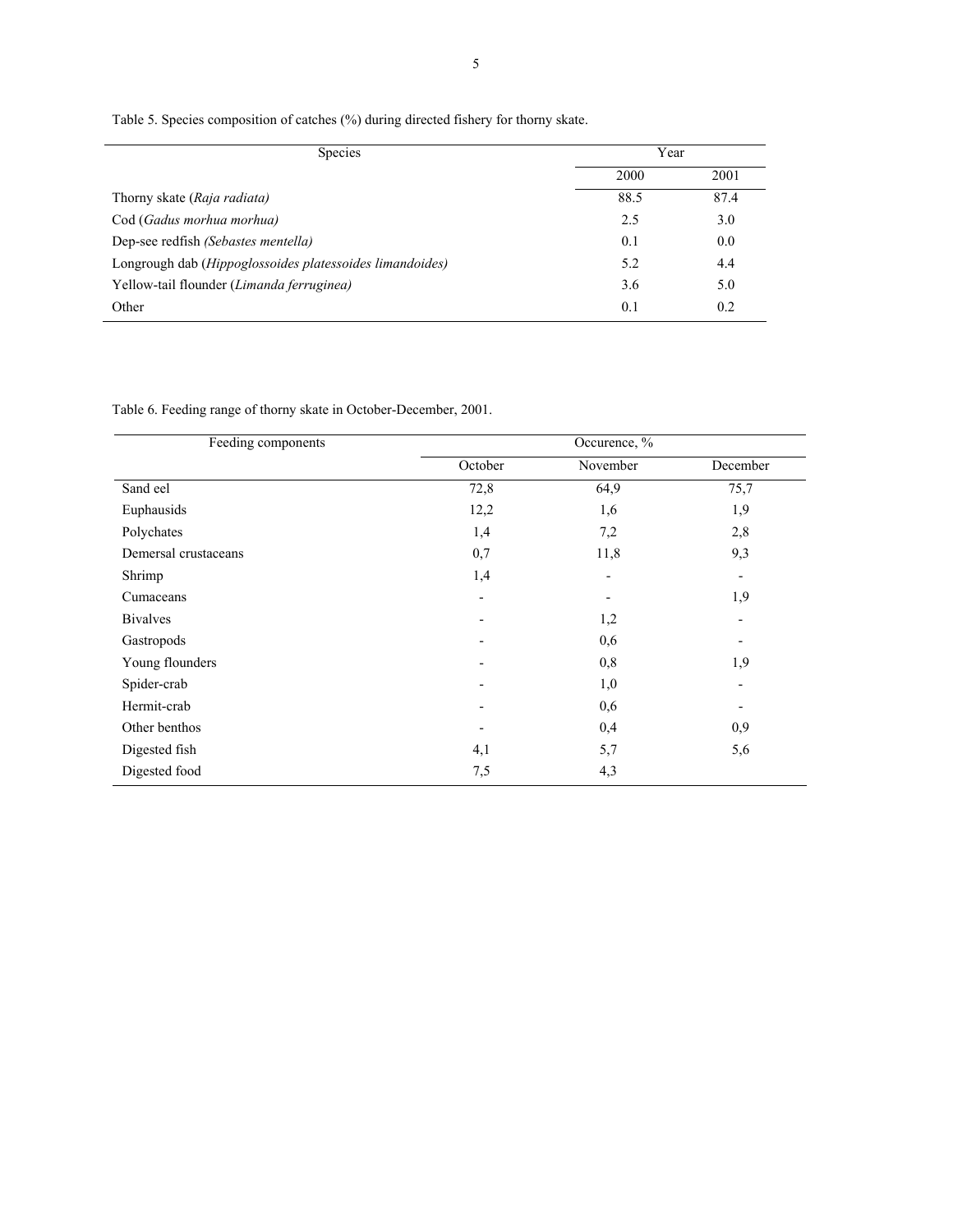Table 5. Species composition of catches (%) during directed fishery for thorny skate.

| <b>Species</b>                                                    | Year |      |  |
|-------------------------------------------------------------------|------|------|--|
|                                                                   | 2000 | 2001 |  |
| Thorny skate (Raja radiata)                                       | 88.5 | 87.4 |  |
| Cod (Gadus morhua morhua)                                         | 2.5  | 3.0  |  |
| Dep-see redfish (Sebastes mentella)                               | 0.1  | 0.0  |  |
| Longrough dab ( <i>Hippoglossoides platessoides limandoides</i> ) | 5.2  | 4.4  |  |
| Yellow-tail flounder (Limanda ferruginea)                         | 3.6  | 5.0  |  |
| Other                                                             | 0.1  | 0.2  |  |

Table 6. Feeding range of thorny skate in October-December, 2001.

| Feeding components   |         | Occurence, %   |                          |
|----------------------|---------|----------------|--------------------------|
|                      | October | November       | December                 |
| Sand eel             | 72,8    | 64,9           | 75,7                     |
| Euphausids           | 12,2    | 1,6            | 1,9                      |
| Polychates           | 1,4     | 7,2            | 2,8                      |
| Demersal crustaceans | 0,7     | 11,8           | 9,3                      |
| Shrimp               | 1,4     | $\blacksquare$ | $\overline{\phantom{a}}$ |
| Cumaceans            |         |                | 1,9                      |
| <b>Bivalves</b>      |         | 1,2            | $\overline{\phantom{a}}$ |
| Gastropods           |         | 0,6            | $\overline{\phantom{a}}$ |
| Young flounders      |         | 0,8            | 1,9                      |
| Spider-crab          |         | 1,0            | $\overline{\phantom{a}}$ |
| Hermit-crab          |         | 0,6            | $\overline{\phantom{a}}$ |
| Other benthos        |         | 0,4            | 0,9                      |
| Digested fish        | 4,1     | 5,7            | 5,6                      |
| Digested food        | 7,5     | 4,3            |                          |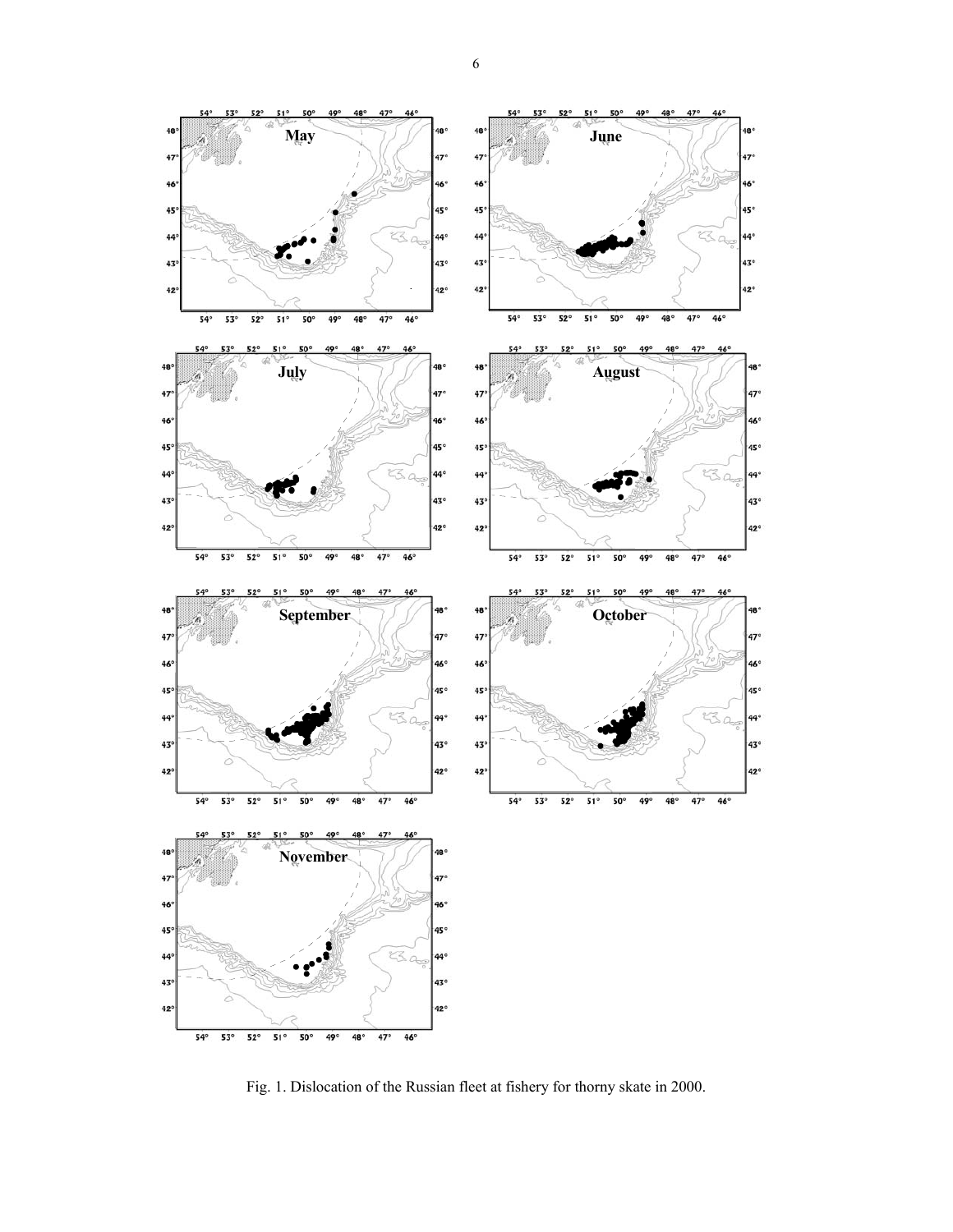

Fig. 1. Dislocation of the Russian fleet at fishery for thorny skate in 2000.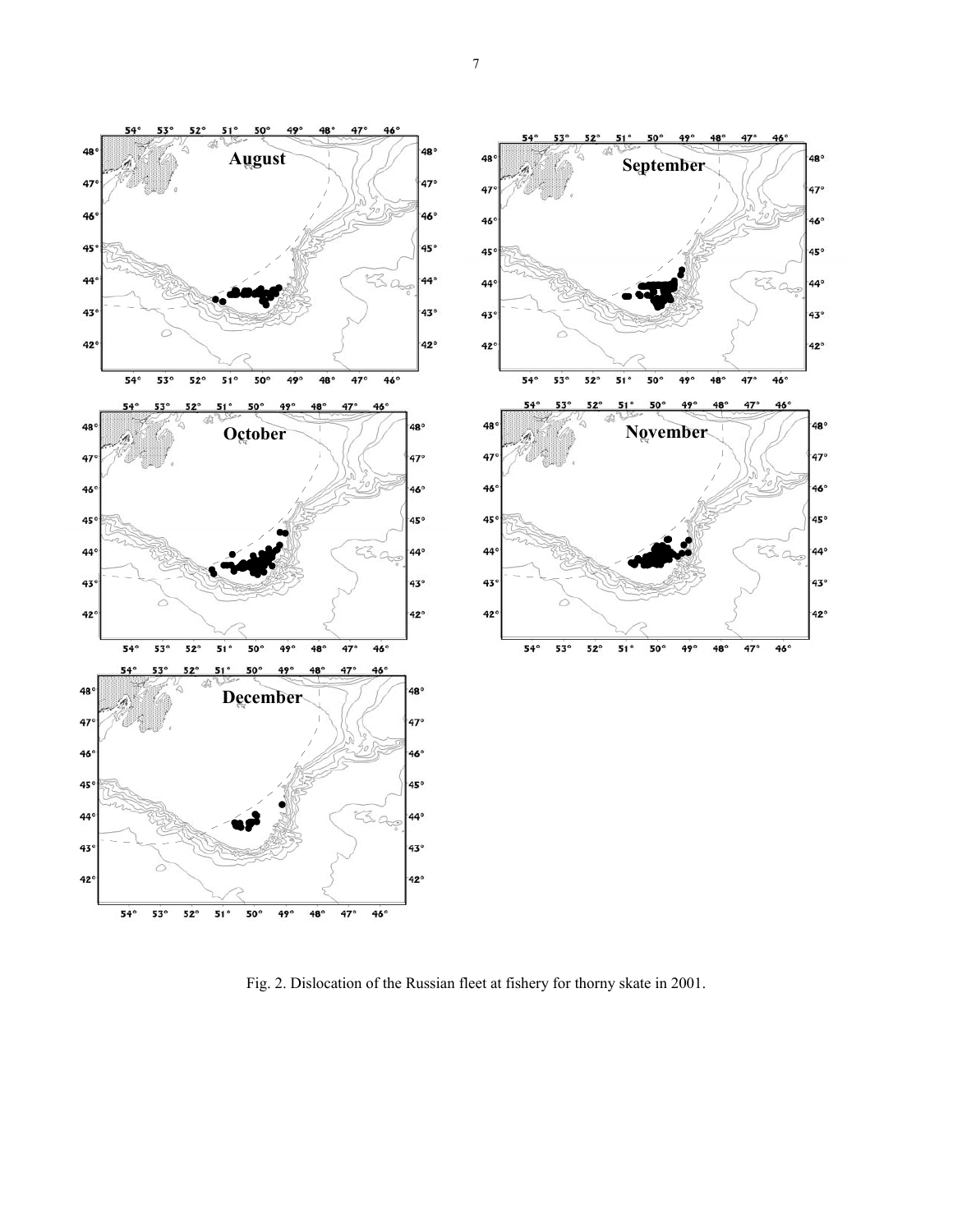

Fig. 2. Dislocation of the Russian fleet at fishery for thorny skate in 2001.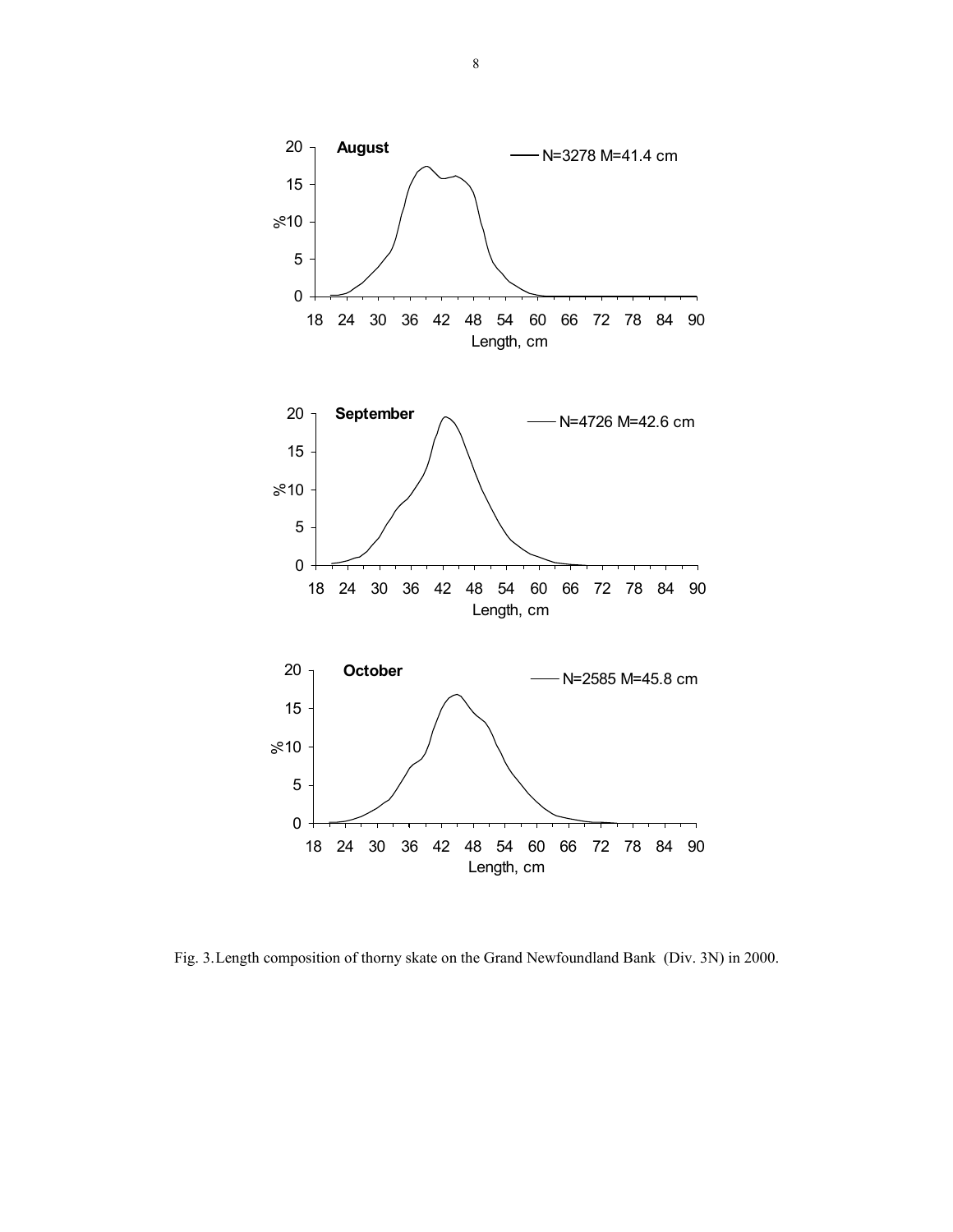

Fig. 3. Length composition of thorny skate on the Grand Newfoundland Bank (Div. 3N) in 2000.